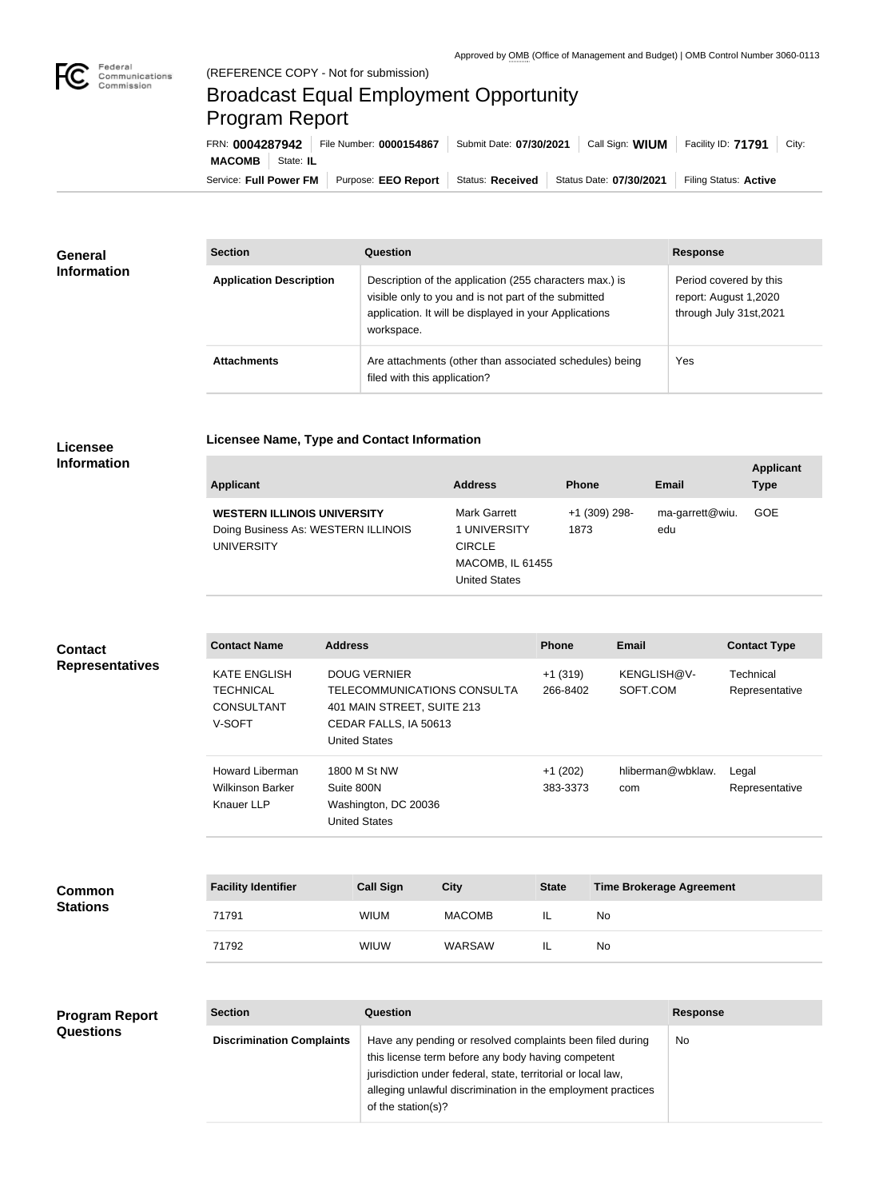

## Broadcast Equal Employment Opportunity Program Report

**Licensee Name, Type and Contact Information**

Service: Full Power FM Purpose: EEO Report | Status: Received | Status Date: 07/30/2021 | Filing Status: Active **MACOMB** State: IL FRN: **0004287942** File Number: **0000154867** Submit Date: **07/30/2021** Call Sign: **WIUM** Facility ID: **71791** City:

| <b>General</b><br><b>Information</b> | <b>Section</b>                 | <b>Question</b>                                                                                                                                                                         | <b>Response</b>                                                            |
|--------------------------------------|--------------------------------|-----------------------------------------------------------------------------------------------------------------------------------------------------------------------------------------|----------------------------------------------------------------------------|
|                                      | <b>Application Description</b> | Description of the application (255 characters max.) is<br>visible only to you and is not part of the submitted<br>application. It will be displayed in your Applications<br>workspace. | Period covered by this<br>report: August 1,2020<br>through July 31st, 2021 |
|                                      | <b>Attachments</b>             | Are attachments (other than associated schedules) being<br>filed with this application?                                                                                                 | Yes                                                                        |

## **Licensee Information**

| <b>Applicant</b>                                                                               | <b>Address</b>                                                                     | <b>Phone</b>          | Email                  | <b>Applicant</b><br><b>Type</b> |
|------------------------------------------------------------------------------------------------|------------------------------------------------------------------------------------|-----------------------|------------------------|---------------------------------|
| <b>WESTERN ILLINOIS UNIVERSITY</b><br>Doing Business As: WESTERN ILLINOIS<br><b>UNIVERSITY</b> | Mark Garrett<br>1 UNIVERSITY<br><b>CIRCLE</b><br>MACOMB, IL 61455<br>United States | +1 (309) 298-<br>1873 | ma-garrett@wiu.<br>edu | <b>GOE</b>                      |

| <b>Contact</b><br><b>Representatives</b> | <b>Contact Name</b>                                                    | <b>Address</b>                                                                                                                    | <b>Phone</b>          | <b>Email</b>             | <b>Contact Type</b>         |
|------------------------------------------|------------------------------------------------------------------------|-----------------------------------------------------------------------------------------------------------------------------------|-----------------------|--------------------------|-----------------------------|
|                                          | <b>KATE ENGLISH</b><br>TECHNICAL<br><b>CONSULTANT</b><br>V-SOFT        | <b>DOUG VERNIER</b><br>TELECOMMUNICATIONS CONSULTA<br>401 MAIN STREET, SUITE 213<br>CEDAR FALLS, IA 50613<br><b>United States</b> | $+1(319)$<br>266-8402 | KENGLISH@V-<br>SOFT.COM  | Technical<br>Representative |
|                                          | <b>Howard Liberman</b><br><b>Wilkinson Barker</b><br><b>Knauer LLP</b> | 1800 M St NW<br>Suite 800N<br>Washington, DC 20036<br>United States                                                               | $+1(202)$<br>383-3373 | hliberman@wbklaw.<br>com | Legal<br>Representative     |

| <b>Common</b><br><b>Stations</b> | <b>Facility Identifier</b> | <b>Call Sign</b> | <b>City</b>   | <b>State</b> | <b>Time Brokerage Agreement</b> |
|----------------------------------|----------------------------|------------------|---------------|--------------|---------------------------------|
|                                  | 71791                      | <b>WIUM</b>      | <b>MACOMB</b> | IL           | No                              |
|                                  | 71792                      | <b>WIUW</b>      | WARSAW        | IL           | No                              |

| <b>Program Report</b> | <b>Section</b>                   | Question                                                                                                                                                                                                                                                              | <b>Response</b> |
|-----------------------|----------------------------------|-----------------------------------------------------------------------------------------------------------------------------------------------------------------------------------------------------------------------------------------------------------------------|-----------------|
| <b>Questions</b>      | <b>Discrimination Complaints</b> | Have any pending or resolved complaints been filed during<br>this license term before any body having competent<br>jurisdiction under federal, state, territorial or local law,<br>alleging unlawful discrimination in the employment practices<br>of the station(s)? | No              |